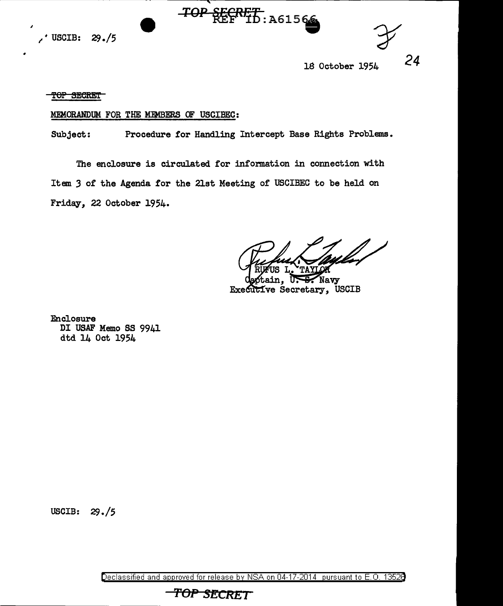

18 October 1954

*24* 

TOP SECRET

# MEMORANDUM FOR THE MEMBERS OF USCIBEC:

Subject: Procedure for Handling Intercept Base Rights Problems.

TOP SECRET 10: A61566

The enclosure is circulated for information in connection with Item *3* of the Agenda for the 21st Meeting of USCIBEC to be held on Friday, 22 October 1954.

TAYI

Navy IΓ Executive Secretary, USCIB

Enclosure DI USAF Memo SS 9941 dtd 14 Oct 1954

USCIB: 29./5

Declassified and approved for release by NSA on 04-17-2014 pursuant to E.O. 1352B

**TOP SECRET**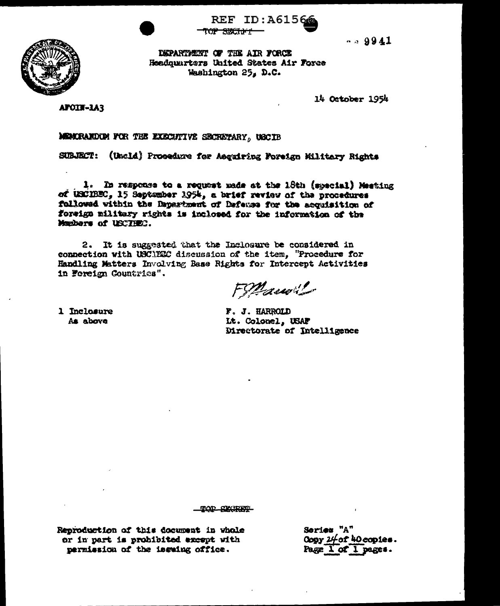

**REF ID: A61566** <del>TOP SWEIN'T</del>

 $-29941$ 

DEPARTMENT OF THE AIR FORCE Headquarters United States Air Force Washington 25, D.C.

14 October 1954

APOIN-LAR

# MEMORANDOM FOR THE EXECUTIVE SECRETARY, USCIB

SUBJECT: (Uncld) Prosedure for Ascuiring Foreign Military Rights

1. In response to a request made at the 18th (special) Meeting of USCIBEC, 15 September 1954, a brief review of the procedures followed within the Dayarbment of Defense for the acquisition of foreign military rights is inclosed for the information of the Manbers of USCTHEC.

2. It is suggested that the Inclosure be considered in connection with USCIEEC discussion of the item, "Procedure for Handling Matters Involving Base Rights for Intercept Activities in Foreign Countries".

Financil

1 Inclosure As above

F. J. HARROLD It. Colonel, USAF Directorate of Intelligence

TOP CLORET

Reproduction of this document in whole or in part is probibited except with permission of the issuing office.

Series "A" Copy 24of 40 copies. Page 1 of 1 pages.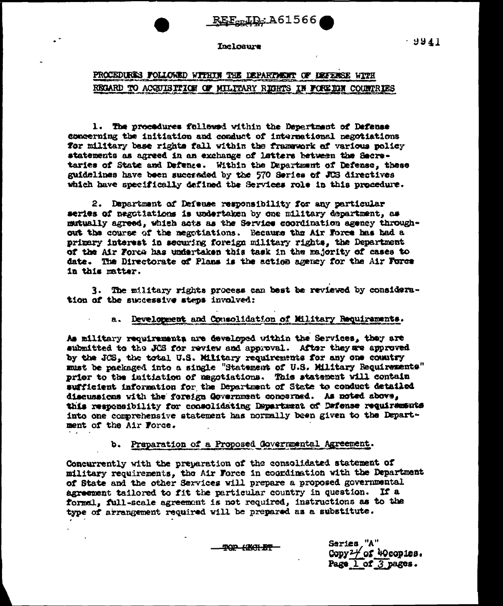REF-LD: A61566

# Inclosure

 $-9941$ 

# PROCEDURES FOLLOWED WITHIN THE DEPARTMENT OF DEFENSE WITH REGARD TO ACGUISTILOW OF MILITARY RIGHTS IN FOREIGN COUNTRIES

1. The procedures followed within the Department of Defense concerning the initiation and conduct of international negotiations for military base rights fall within the framework of various policy statements as agreed in an exchange of latters between the Secretaries of State and Defense. Within the Department of Defense, these guidelines have been succeeded by the 570 Series of JUS directives which have specifically defined the Services role in this procedure.

2. Department of Defeuse responsibility for any particular series of negotiations is undertaken by one military department. as mutually agreed, which acts as the Service coordination agency throughout the course of the negotiations. Because the Air Force has had a primary interest in securing foreign military rights, the Department of the Air Forca has undertaken this task in the majority of cases to date. The Directorate of Plans is the action agency for the Air Force in this matter.

3. The military rights process can best be reviewed by consideration of the successive steps involved:

#### a. Development and Consolidation of Military Requirements.

As military requirements are developed within the Services, they are submitted to the JCS for review and approval. After they are approved by the JCS, the total U.S. Military requirements for any one country must be packaged into a single "Statement of U.S. Military Requirements" prior to the initiation of magotiations. This statement will contain sufficient information for the Department of State to conduct detailed discussions with the foreign Government concerned. As noted above, this responsibility for consolidating Department of Defense requirements into one comprehensive statement has normally been given to the Department of the Air Force.

# b. Preparation of a Proposed Governmental Agreement.

Concurrently with the preparation of the consolidated statement of military requirements, the Air Force in coordination with the Department of State and the other Services will prepare a proposed governmental agreement tailored to fit the particular country in question. If a formal. full-scale agreement is not required, instructions as to the type of arrangement required will be prepared as a substitute.

**TOP HEALET** 

Saries "A" Copy  $2\frac{1}{2}$  of 40 copies. Page 1 of 3 pages.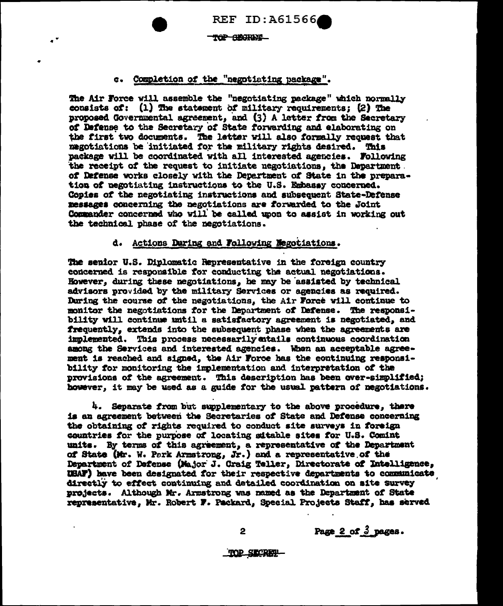**REF ID:A61566** 

TOP SECTION

# c. Completion of the "negotiating package".

The Air Force will assemble the "negotiating package" which normally consists of: (1) The statement of military requirements: (2) The proposed Governmental agreement, and (3) A letter from the Secretary of Defense to the Secretary of State forwarding and elaborating on the first two documents. The letter will also formally request that megotiations be initiated for the military rights desired. This package will be coordinated with all interested agencies. Following the receipt of the request to initiate negotiations, the Department. of Defense works closely with the Depertment of State in the preparation of negotiating instructions to the U.S. Embassy concerned. Copies of the negotiating instructions and subsequent State-Defense messages concerning the negotiations are forwarded to the Joint Commander concerned who will be called upon to assist in working out the technical phase of the negotiations.

# d. Actions During and Following Megotiations.

The senior U.S. Diplomatic Representative in the foreign country concerned is responsible for conducting the actual negotiations. However, during these negotiations, he may be assisted by technical advisors provided by the military Services or agencies as required. During the course of the negotiations, the Air Force will continue to monitor the negotiations for the Department of Defense. The responsibility will continue until a satisfactory agreement is negotiated, and frequently, extends into the subsequent phase when the agreements are implemented. This process necessarily attails continuous coordination among the Services and interested agencies. When an acceptable agreement is reached and signed, the Air Force has the continuing responsibility for monitoring the implementation and interpretation of the provisions of the agreement. This description has been over-simplified; however, it may be used as a guide for the usual pattern of negotiations.

4. Separate from but supplementary to the above procedure, there is an agreement between the Secretaries of State and Defense concerning the obtaining of rights required to conduct site surveys in foreign countries for the purpose of locating sitable sites for U.S. Comint units. By terms of this agreement, a representative of the Department of State (Mr. W. Park Armstrong, Jr.) and a representative of the Department of Defense (Major J. Craig Teller, Directorate of Intelligence, USAF) have been designated for their respective departments to communicate directly to effect continuing and detailed coordination on site survey projects. Although Mr. Armstrong was named as the Department of State representative, Mr. Robert F. Packard, Special Projects Staff, has served

Page 2 of  $3$  pages.

 $\overline{2}$ 

TOP SECRET-